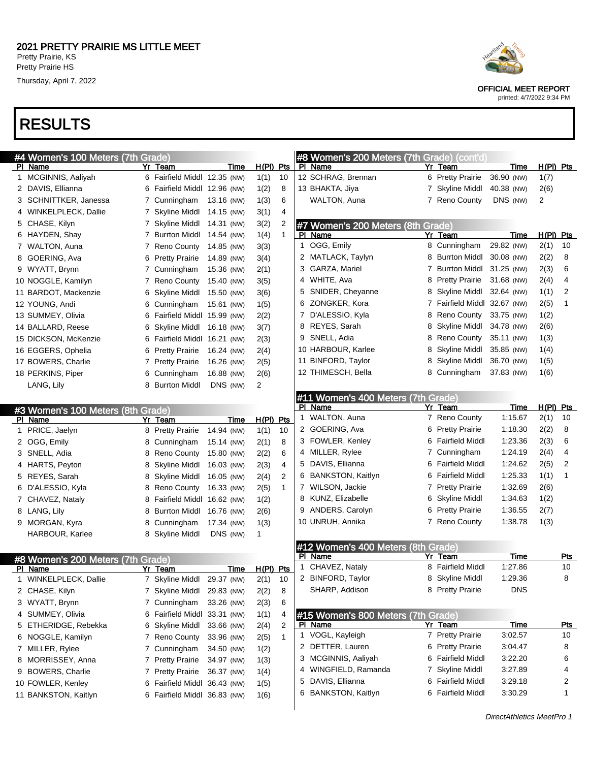## RESULTS





OFFICIAL MEET REPORT

printed: 4/7/2022 9:34 PM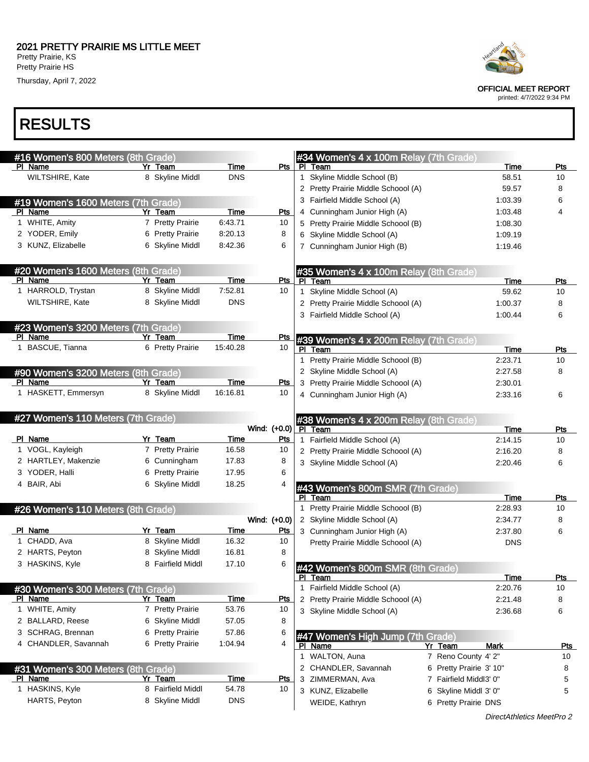

| #16 Women's 800 Meters (8th Grade)  |                                      |                     |              |              | #34 Women's 4 x 100m Relay (7th Grade) |                                               |            |
|-------------------------------------|--------------------------------------|---------------------|--------------|--------------|----------------------------------------|-----------------------------------------------|------------|
| PI Name                             | Yr Team                              | Time                | Pts I        |              | PI Team                                | Time                                          | Pts        |
| WILTSHIRE, Kate                     | 8 Skyline Middl                      | <b>DNS</b>          |              |              | 1 Skyline Middle School (B)            | 58.51                                         | 10         |
|                                     |                                      |                     |              |              | 2 Pretty Prairie Middle Schoool (A)    | 59.57                                         | 8          |
| #19 Women's 1600 Meters (7th Grade) |                                      |                     |              |              | 3 Fairfield Middle School (A)          | 1:03.39                                       | 6          |
| PI Name                             | Yr Team                              | Time                | Pts          |              | 4 Cunningham Junior High (A)           | 1:03.48                                       | 4          |
| 1 WHITE, Amity                      | 7 Pretty Prairie                     | 6:43.71             | 10           |              | 5 Pretty Prairie Middle Schoool (B)    | 1:08.30                                       |            |
| 2 YODER, Emily                      | 6 Pretty Prairie                     | 8:20.13             | 8            |              | 6 Skyline Middle School (A)            | 1:09.19                                       |            |
| 3 KUNZ, Elizabelle                  | 6 Skyline Middl                      | 8:42.36             | 6            |              | 7 Cunningham Junior High (B)           | 1:19.46                                       |            |
|                                     |                                      |                     |              |              |                                        |                                               |            |
| #20 Women's 1600 Meters (8th Grade) |                                      |                     |              |              | #35 Women's 4 x 100m Relay (8th Grade) |                                               |            |
| PI Name                             | Yr Team                              | <b>Time</b>         | Pts          |              | PI Team                                | Time                                          | <b>Pts</b> |
| 1 HARROLD, Trystan                  | 8 Skyline Middl                      | 7:52.81             | 10           | $\mathbf{1}$ | Skyline Middle School (A)              | 59.62                                         | 10         |
| WILTSHIRE, Kate                     | 8 Skyline Middl                      | <b>DNS</b>          |              |              | 2 Pretty Prairie Middle Schoool (A)    | 1:00.37                                       | 8          |
|                                     |                                      |                     |              |              | 3 Fairfield Middle School (A)          | 1:00.44                                       | 6          |
| #23 Women's 3200 Meters (7th Grade) |                                      |                     |              |              |                                        |                                               |            |
| PI Name                             | Yr Team                              | Time                | Pts          |              | #39 Women's 4 x 200m Relay (7th Grade) |                                               |            |
| 1 BASCUE, Tianna                    | 6 Pretty Prairie                     | 15:40.28            | 10           |              | PI Team                                | Time                                          | Pts        |
|                                     |                                      |                     |              |              | 1 Pretty Prairie Middle Schoool (B)    | 2:23.71                                       | 10         |
| #90 Women's 3200 Meters (8th Grade) |                                      |                     |              |              | 2 Skyline Middle School (A)            | 2:27.58                                       | 8          |
| PI Name                             | Yr Team                              | <b>Time</b>         | <u>Pts</u>   |              | 3 Pretty Prairie Middle Schoool (A)    | 2:30.01                                       |            |
| 1 HASKETT, Emmersyn                 | 8 Skyline Middl                      | 16:16.81            | 10           |              | 4 Cunningham Junior High (A)           | 2:33.16                                       | 6          |
|                                     |                                      |                     |              |              |                                        |                                               |            |
| #27 Women's 110 Meters (7th Grade)  |                                      |                     |              |              | #38 Women's 4 x 200m Relay (8th Grade) |                                               |            |
|                                     |                                      |                     | Wind: (+0.0) |              | PI Team                                | Time                                          | Pts        |
|                                     |                                      |                     |              |              |                                        |                                               |            |
| PI Name                             | Yr Team                              | Time                | Pts          |              | 1 Fairfield Middle School (A)          | 2:14.15                                       | 10         |
| 1 VOGL, Kayleigh                    | 7 Pretty Prairie                     | 16.58               | 10           |              | 2 Pretty Prairie Middle Schoool (A)    | 2:16.20                                       | 8          |
| 2 HARTLEY, Makenzie                 | 6 Cunningham                         | 17.83               | 8            |              | 3 Skyline Middle School (A)            | 2:20.46                                       | 6          |
| 3 YODER, Halli                      | 6 Pretty Prairie                     | 17.95               | 6            |              |                                        |                                               |            |
| 4 BAIR, Abi                         | 6 Skyline Middl                      | 18.25               |              |              | #43 Women's 800m SMR (7th Grade)       |                                               |            |
|                                     |                                      |                     |              |              | PI Team                                | Time                                          | Pts        |
| #26 Women's 110 Meters (8th Grade)  |                                      |                     |              |              | 1 Pretty Prairie Middle Schoool (B)    | 2:28.93                                       | 10         |
|                                     |                                      |                     | Wind: (+0.0) |              | 2 Skyline Middle School (A)            | 2:34.77                                       | 8          |
| PI Name                             | Yr Team                              | Time                | Pts          |              | 3 Cunningham Junior High (A)           | 2:37.80                                       | 6          |
| 1 CHADD, Ava                        | 8 Skyline Middl                      | 16.32               | 10           |              | Pretty Prairie Middle Schoool (A)      | <b>DNS</b>                                    |            |
| 2 HARTS, Peyton                     | 8 Skyline Middl                      | 16.81               | 8            |              |                                        |                                               |            |
| 3 HASKINS, Kyle                     | 8 Fairfield Middl                    | 17.10               |              |              | #42 Women's 800m SMR (8th Grade)       |                                               |            |
|                                     |                                      |                     |              |              | PI Team                                | Time                                          | Pts        |
| #30 Women's 300 Meters (7th Grade)  |                                      |                     |              |              | 1 Fairfield Middle School (A)          | 2:20.76                                       | 10         |
| PI Name                             | Yr Team                              | Time                | <b>Pts</b>   |              | 2 Pretty Prairie Middle Schoool (A)    | 2:21.48                                       | 8          |
| 1 WHITE, Amity                      | 7 Pretty Prairie                     | 53.76               | 10           |              | 3 Skyline Middle School (A)            | 2:36.68                                       | 6          |
| 2 BALLARD, Reese                    | 6 Skyline Middl                      | 57.05               | 8            |              |                                        |                                               |            |
| 3 SCHRAG, Brennan                   | 6 Pretty Prairie                     | 57.86               | 6            |              | #47 Women's High Jump (7th Grade)      |                                               |            |
| 4 CHANDLER, Savannah                | 6 Pretty Prairie                     | 1:04.94             | 4            |              | PI Name                                | Yr Team<br>Mark                               | <u>Pts</u> |
|                                     |                                      |                     |              |              | 1 WALTON, Auna                         | 7 Reno County 4' 2"                           | 10         |
| #31 Women's 300 Meters (8th Grade)  |                                      |                     |              |              | 2 CHANDLER, Savannah                   | 6 Pretty Prairie 3' 10"                       | 8          |
| PI Name                             | Yr Team                              | <u>Time</u>         | <u>Pts</u>   | 3            | ZIMMERMAN, Ava                         | 7 Fairfield Middl3' 0"                        | 5          |
| 1 HASKINS, Kyle<br>HARTS, Peyton    | 8 Fairfield Middl<br>8 Skyline Middl | 54.78<br><b>DNS</b> | 10           |              | 3 KUNZ, Elizabelle<br>WEIDE, Kathryn   | 6 Skyline Middl 3' 0"<br>6 Pretty Prairie DNS | 5          |



OFFICIAL MEET REPORT

printed: 4/7/2022 9:34 PM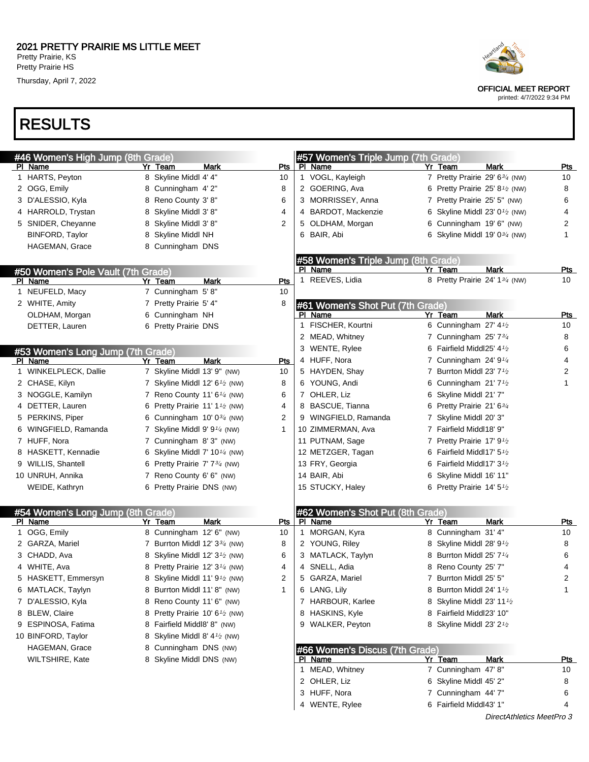# RESULTS

| #46 Women's High Jump (8th Grade)  |   |                                                         |           |    | #57 Women's Triple Jump (7th Grade)         |    |                                                            |             |                  |
|------------------------------------|---|---------------------------------------------------------|-----------|----|---------------------------------------------|----|------------------------------------------------------------|-------------|------------------|
| <u>PI Name</u>                     |   | Yr Team<br>Mark                                         | Pts       |    | PI Name                                     |    | Yr Team                                                    | Mark        | Pts              |
| 1 HARTS, Peyton                    |   | 8 Skyline Middl 4' 4"                                   | 10        |    | 1 VOGL, Kayleigh                            |    | 7 Pretty Prairie 29' 634 (NW)                              |             | 10               |
| 2 OGG, Emily                       | 8 | Cunningham 4'2"                                         | 8         |    | 2 GOERING, Ava                              |    | 6 Pretty Prairie 25' 8 $\frac{1}{2}$ (NW)                  |             | 8                |
| 3 D'ALESSIO, Kyla                  | 8 | Reno County 3'8"                                        | 6         |    | 3 MORRISSEY, Anna                           |    | 7 Pretty Prairie 25' 5" (NW)                               |             | 6                |
| 4 HARROLD, Trystan                 | 8 | Skyline Middl 3' 8"                                     | 4         |    | 4 BARDOT, Mackenzie                         | 6  | Skyline Middl 23' 0 <sup>1</sup> / <sub>2</sub> (NW)       |             | 4                |
| 5 SNIDER, Cheyanne                 | 8 | Skyline Middl 3' 8"                                     | 2         |    | 5 OLDHAM, Morgan                            |    | Cunningham 19' 6" (NW)                                     |             | 2                |
| <b>BINFORD, Taylor</b>             | 8 | Skyline Middl NH                                        |           |    | 6 BAIR, Abi                                 |    | 6 Skyline Middl 19' $0\frac{3}{4}$ (NW)                    |             | 1                |
| HAGEMAN, Grace                     |   | 8 Cunningham DNS                                        |           |    |                                             |    |                                                            |             |                  |
|                                    |   |                                                         |           |    | #58 Women's Triple Jump (8th Grade)         |    |                                                            |             |                  |
| #50 Women's Pole Vault (7th Grade) |   |                                                         |           |    | PI Name                                     |    | Yr Team                                                    | <b>Mark</b> | <b>Pts</b>       |
| PI Name                            |   | Yr Team<br>Mark                                         | Pts       |    | 1 REEVES, Lidia                             |    | 8 Pretty Prairie 24' 13/4 (NW)                             |             | 10               |
| 1 NEUFELD, Macy                    |   | 7 Cunningham 5'8"                                       | 10        |    |                                             |    |                                                            |             |                  |
| 2 WHITE, Amity                     |   | 7 Pretty Prairie 5' 4"                                  | 8         |    | #61 Women's Shot Put (7th Grade)            |    |                                                            |             |                  |
| OLDHAM, Morgan                     |   | 6 Cunningham NH                                         |           |    | PI Name                                     |    | Yr Team                                                    | <b>Mark</b> | <u>Pts</u>       |
| DETTER, Lauren                     |   | 6 Pretty Prairie DNS                                    |           | 1. | FISCHER, Kourtni                            |    | 6 Cunningham 27' 4 <sup>1</sup> / <sub>2</sub>             |             | 10               |
|                                    |   |                                                         |           |    | 2 MEAD, Whitney                             |    | 7 Cunningham 25' 73/4                                      |             | 8                |
| #53 Women's Long Jump (7th Grade)  |   |                                                         |           |    | 3 WENTE, Rylee                              |    | 6 Fairfield Middl25' $4\frac{1}{2}$                        |             | 6                |
| PI Name                            |   | <b>Mark</b><br>Yr Team                                  | Pts       |    | 4 HUFF, Nora                                |    | 7 Cunningham $24'9'4$                                      |             | 4                |
| 1 WINKELPLECK, Dallie              |   | 7 Skyline Middl 13' 9" (NW)                             | 10        |    | 5 HAYDEN, Shay                              | 7  | Burrton Middl 23' 7 <sup>1</sup> /2                        |             | 2                |
| 2 CHASE, Kilyn                     |   | 7 Skyline Middl 12' $6\frac{1}{2}$ (NW)                 | 8         |    | 6 YOUNG, Andi                               | 6  | Cunningham 21' 7 <sup>1</sup> / <sub>2</sub>               |             | 1                |
| 3 NOGGLE, Kamilyn                  |   | 7 Reno County 11' $6\frac{1}{4}$ (NW)                   | 6         |    | 7 OHLER, Liz                                | 6  | Skyline Middl 21' 7"                                       |             |                  |
| 4 DETTER, Lauren                   | 6 | Pretty Prairie 11' 1 <sup>1</sup> / <sub>2</sub> (NW)   | 4         |    | 8 BASCUE, Tianna                            | 6  | Pretty Prairie 21' 634                                     |             |                  |
| 5 PERKINS, Piper                   |   | 6 Cunningham $10'0^{3/4}$ (NW)                          | 2         |    | 9 WINGFIELD, Ramanda                        | 7  | Skyline Middl 20' 3"                                       |             |                  |
| 6 WINGFIELD, Ramanda               |   | 7 Skyline Middl 9' 9 <sup>1/4</sup> (NW)                | 1         |    | 10 ZIMMERMAN, Ava                           |    | 7 Fairfield Middl18' 9"                                    |             |                  |
| 7 HUFF, Nora                       |   | 7 Cunningham 8'3" (NW)                                  |           |    | 11 PUTNAM, Sage                             | 7  | Pretty Prairie 17' 9 <sup>1</sup> /2                       |             |                  |
| 8 HASKETT, Kennadie                | 6 | Skyline Middl 7' 10 <sup>1/4</sup> (NW)                 |           |    | 12 METZGER, Tagan                           | 6  | Fairfield Middl17' 5 <sup>1</sup> /2                       |             |                  |
| 9 WILLIS, Shantell                 | 6 | Pretty Prairie 7' 7 <sup>3/4</sup> (NW)                 |           |    | 13 FRY, Georgia                             | 6  | Fairfield Middl17' 3 <sup>1</sup> /2                       |             |                  |
| 10 UNRUH, Annika                   |   | 7 Reno County 6' 6" (NW)                                |           |    | 14 BAIR, Abi                                | 6  | Skyline Middl 16' 11"                                      |             |                  |
| WEIDE, Kathryn                     |   | 6 Pretty Prairie DNS (NW)                               |           |    | 15 STUCKY, Haley                            |    | 6 Pretty Prairie 14' $5\frac{1}{2}$                        |             |                  |
|                                    |   |                                                         |           |    |                                             |    |                                                            |             |                  |
| #54 Women's Long Jump (8th Grade)  |   | <b>Mark</b>                                             |           |    | #62 Women's Shot Put (8th Grade)<br>PI Name |    |                                                            | Mark        |                  |
| PI Name<br>1 OGG, Emily            |   | Yr Team<br>8 Cunningham 12' 6" (NW)                     | Pts<br>10 |    | 1 MORGAN, Kyra                              |    | Yr Team<br>8 Cunningham 31' 4"                             |             | <b>Pts</b><br>10 |
| 2 GARZA, Mariel                    |   | 7 Burrton Middl 12' 33/4 (NW)                           | 8         |    | 2 YOUNG, Riley                              | 8. | Skyline Middl 28' 9 $\frac{1}{2}$                          |             | 8                |
|                                    |   | 8 Skyline Middl 12' 3 <sup>1</sup> / <sub>2</sub> (NW)  | 6         |    |                                             |    |                                                            |             | 6                |
| 3 CHADD, Ava<br>4 WHITE, Ava       |   | 8 Pretty Prairie 12' 3 <sup>1/4</sup> (NW)              | 4         |    | 3 MATLACK, Taylyn<br>SNELL, Adia            |    | 8 Burrton Middl 25' $7\frac{1}{4}$<br>8 Reno County 25' 7" |             |                  |
|                                    |   |                                                         | 2         | 4  |                                             |    |                                                            |             | 4<br>2           |
| 5 HASKETT, Emmersyn                |   | Skyline Middl 11' $91$ <sub>2</sub> (NW)                |           | 5  | GARZA, Mariel                               |    | 7 Burrton Middl 25' 5"                                     |             |                  |
| 6 MATLACK, Taylyn                  |   | 8 Burrton Middl 11' 8" (NW)                             | -1        |    | 6 LANG, Lily                                |    | 8 Burrton Middl 24' $1\frac{1}{2}$                         |             | 1                |
| 7 D'ALESSIO, Kyla                  |   | 8 Reno County 11' 6" (NW)                               |           |    | 7 HARBOUR, Karlee                           |    | 8 Skyline Middl 23' 11 1/2                                 |             |                  |
| 8 BLEW, Claire                     |   | 8 Pretty Prairie 10' 6 <sup>1</sup> / <sub>2</sub> (NW) |           |    | 8 HASKINS, Kyle                             |    | 8 Fairfield Middl23' 10"                                   |             |                  |
| 9 ESPINOSA, Fatima                 |   | 8 Fairfield Middl8' 8" (NW)                             |           |    | 9 WALKER, Peyton                            |    | 8 Skyline Middl 23' 2 <sup>1</sup> /2                      |             |                  |
| 10 BINFORD, Taylor                 |   | 8 Skyline Middl 8' 4 <sup>1</sup> / <sub>2</sub> (NW)   |           |    |                                             |    |                                                            |             |                  |
| HAGEMAN, Grace                     |   | 8 Cunningham DNS (NW)                                   |           |    | #66 Women's Discus (7th Grade)              |    |                                                            |             |                  |
| <b>WILTSHIRE, Kate</b>             |   | 8 Skyline Middl DNS (NW)                                |           |    | PI Name                                     |    | Yr Team                                                    | Mark        | <u>Pts</u>       |
|                                    |   |                                                         |           |    | 1 MEAD, Whitney                             |    | 7 Cunningham 47'8"                                         |             | 10               |
|                                    |   |                                                         |           |    | 2 OHLER, Liz                                |    | 6 Skyline Middl 45' 2"                                     |             | 8                |
|                                    |   |                                                         |           |    | 3 HUFF, Nora                                |    | 7 Cunningham 44' 7"                                        |             | 6                |
|                                    |   |                                                         |           |    | 4 WENTE, Rylee                              |    | 6 Fairfield Middl43' 1"                                    |             | 4                |



OFFICIAL MEET REPORT

printed: 4/7/2022 9:34 PM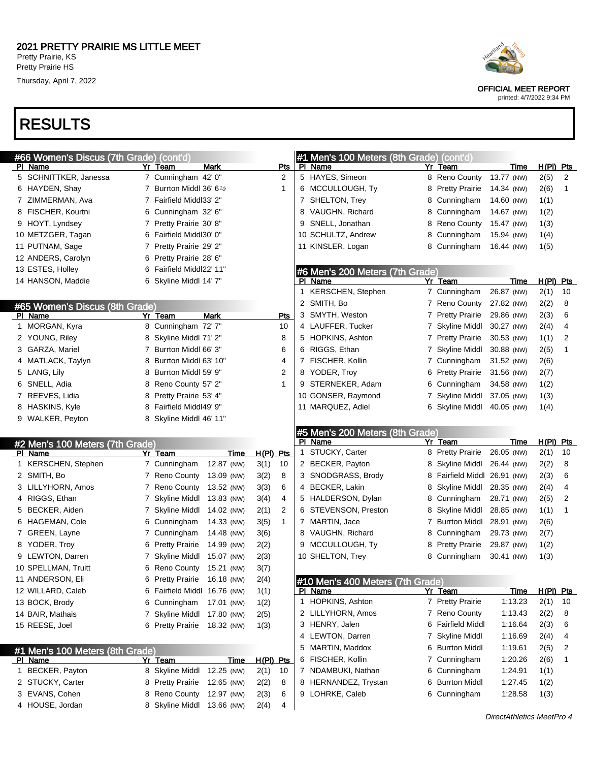## RESULTS

| #66 Women's Discus (7th Grade) (cont'd)           |                              |            |             |                         | #1 Men's 100 Meters (8th Grade) (cont'd)           |   |                       |             |             |             |
|---------------------------------------------------|------------------------------|------------|-------------|-------------------------|----------------------------------------------------|---|-----------------------|-------------|-------------|-------------|
| PI Name                                           | Yr Team                      | Mark       |             | <u>Pts</u>              | PI Name                                            |   | Yr Team               | Time        | $H(PI)$ Pts |             |
| 5 SCHNITTKER, Janessa                             | 7 Cunningham 42' 0"          |            |             | 2                       | 5 HAYES, Simeon                                    |   | 8 Reno County         | 13.77 (NW)  | 2(5)        | 2           |
| 6 HAYDEN, Shay                                    | 7 Burrton Middl 36' 61/2     |            |             | 1                       | 6 MCCULLOUGH, Ty                                   |   | 8 Pretty Prairie      | 14.34 (NW)  | 2(6)        | 1           |
| 7 ZIMMERMAN, Ava                                  | 7 Fairfield Middl33' 2"      |            |             |                         | 7 SHELTON, Trey                                    | 8 | Cunningham            | 14.60 (NW)  | 1(1)        |             |
| 8 FISCHER, Kourtni                                | 6 Cunningham 32' 6"          |            |             |                         | 8 VAUGHN, Richard                                  | 8 | Cunningham            | 14.67 (NW)  | 1(2)        |             |
| 9 HOYT, Lyndsey                                   | 7 Pretty Prairie 30' 8"      |            |             |                         | 9 SNELL, Jonathan                                  | 8 | Reno County           | 15.47 (NW)  | 1(3)        |             |
| 10 METZGER, Tagan                                 | 6 Fairfield Middl30' 0"      |            |             |                         | 10 SCHULTZ, Andrew                                 | 8 | Cunningham            | 15.94 (NW)  | 1(4)        |             |
| 11 PUTNAM, Sage                                   | 7 Pretty Prairie 29' 2"      |            |             |                         | 11 KINSLER, Logan                                  | 8 | Cunningham            | 16.44 (NW)  | 1(5)        |             |
| 12 ANDERS, Carolyn                                | 6 Pretty Prairie 28' 6"      |            |             |                         |                                                    |   |                       |             |             |             |
| 13 ESTES, Holley                                  | 6 Fairfield Middl22' 11"     |            |             |                         | #6 Men's 200 Meters (7th Grade)                    |   |                       |             |             |             |
| 14 HANSON, Maddie                                 | 6 Skyline Middl 14' 7"       |            |             |                         | PI Name                                            |   | Yr Team               | Time        | H(PI)       | <u>Pts</u>  |
|                                                   |                              |            |             |                         | 1 KERSCHEN, Stephen                                |   | 7 Cunningham          | 26.87 (NW)  | 2(1)        | 10          |
| #65 Women's Discus (8th Grade)                    |                              |            |             |                         | 2 SMITH, Bo                                        |   | 7 Reno County         | 27.82 (NW)  | 2(2)        | 8           |
| PI Name                                           | Yr Team                      | Mark       |             | Pts                     | 3 SMYTH, Weston                                    | 7 | <b>Pretty Prairie</b> | 29.86 (NW)  | 2(3)        | 6           |
| 1 MORGAN, Kyra                                    | 8 Cunningham 72' 7"          |            |             | 10                      | 4 LAUFFER, Tucker                                  | 7 | <b>Skyline Middl</b>  | 30.27 (NW)  | 2(4)        | 4           |
| 2 YOUNG, Riley                                    | 8 Skyline Middl 71' 2"       |            |             | 8                       | 5 HOPKINS, Ashton                                  | 7 | <b>Pretty Prairie</b> | 30.53 (NW)  | 1(1)        | 2           |
| 3 GARZA, Mariel                                   | 7 Burrton Middl 66' 3"       |            |             | 6                       | 6 RIGGS, Ethan                                     | 7 | <b>Skyline Middl</b>  | 30.88 (NW)  | 2(5)        | $\mathbf 1$ |
| 4 MATLACK, Taylyn                                 | 8 Burrton Middl 63' 10"      |            |             | 4                       | 7 FISCHER, Kollin                                  | 7 | Cunningham            | 31.52 (NW)  | 2(6)        |             |
| 5 LANG, Lily                                      | 8 Burrton Middl 59' 9"       |            |             | $\overline{\mathbf{c}}$ | 8 YODER, Troy                                      | 6 | <b>Pretty Prairie</b> | 31.56 (NW)  | 2(7)        |             |
| 6 SNELL, Adia                                     | 8 Reno County 57' 2"         |            |             | 1                       | 9 STERNEKER, Adam                                  | 6 | Cunningham            | 34.58 (NW)  | 1(2)        |             |
| 7 REEVES, Lidia                                   | 8 Pretty Prairie 53' 4"      |            |             |                         | 10 GONSER, Raymond                                 | 7 | <b>Skyline Middl</b>  | 37.05 (NW)  | 1(3)        |             |
| 8 HASKINS, Kyle                                   | 8 Fairfield Middl49' 9"      |            |             |                         | 11 MARQUEZ, Adiel                                  |   | Skyline Middl         | 40.05 (NW)  | 1(4)        |             |
| 9 WALKER, Peyton                                  | 8 Skyline Middl 46' 11"      |            |             |                         |                                                    |   |                       |             |             |             |
|                                                   |                              |            |             |                         | #5 Men's 200 Meters (8th Grade)                    |   |                       |             |             |             |
|                                                   |                              |            |             |                         |                                                    |   |                       |             |             |             |
|                                                   |                              |            |             |                         | PI Name                                            |   | Yr Team               | Time        | $H(PI)$ Pts |             |
| #2 Men's 100 Meters (7th Grade)<br>PI Name        | Yr Team                      | Time       | $H(PI)$ Pts |                         | 1 STUCKY, Carter                                   | 8 | <b>Pretty Prairie</b> | 26.05 (NW)  | 2(1)        | 10          |
| 1 KERSCHEN, Stephen                               | 7 Cunningham                 | 12.87 (NW) | 3(1)        | 10                      | 2 BECKER, Payton                                   | 8 | Skyline Middl         | 26.44 (NW)  | 2(2)        | 8           |
| 2 SMITH, Bo                                       | 7 Reno County                | 13.09 (NW) | 3(2)        | 8                       | 3 SNODGRASS, Brody                                 | 8 | Fairfield Middl       | 26.91 (NW)  | 2(3)        | 6           |
| 3 LILLYHORN, Amos                                 | 7 Reno County                | 13.52 (NW) | 3(3)        | 6                       | 4 BECKER, Lakin                                    | 8 | Skyline Middl         | 28.35 (NW)  | 2(4)        | 4           |
| 4 RIGGS, Ethan                                    | 7 Skyline Middl              | 13.83 (NW) | 3(4)        | 4                       | 5 HALDERSON, Dylan                                 | 8 | Cunningham            | 28.71 (NW)  | 2(5)        | 2           |
| 5 BECKER, Aiden                                   | 7 Skyline Middl              | 14.02 (NW) | 2(1)        | $\overline{c}$          | 6 STEVENSON, Preston                               | 8 | Skyline Middl         | 28.85 (NW)  | 1(1)        | 1           |
| 6 HAGEMAN, Cole                                   | 6 Cunningham                 | 14.33 (NW) | 3(5)        | $\mathbf{1}$            | 7 MARTIN, Jace                                     | 7 | <b>Burrton Middl</b>  | 28.91 (NW)  | 2(6)        |             |
| 7 GREEN, Layne                                    | 7 Cunningham                 | 14.48 (NW) | 3(6)        |                         | 8 VAUGHN, Richard                                  | 8 | Cunningham            | 29.73 (NW)  | 2(7)        |             |
| 8 YODER, Troy                                     | 6 Pretty Prairie             | 14.99 (NW) | 2(2)        |                         | 9 MCCULLOUGH, Ty                                   | 8 | <b>Pretty Prairie</b> | 29.87 (NW)  | 1(2)        |             |
| 9 LEWTON, Darren                                  | 7 Skyline Middl              | 15.07 (NW) | 2(3)        |                         | 10 SHELTON, Trey                                   | 8 | Cunningham            | 30.41 (NW)  | 1(3)        |             |
| 10 SPELLMAN, Truitt                               | 6 Reno County                | 15.21 (NW) | 3(7)        |                         |                                                    |   |                       |             |             |             |
| 11 ANDERSON, Eli                                  | 6 Pretty Prairie 16.18 (NW)  |            | 2(4)        |                         |                                                    |   |                       |             |             |             |
| 12 WILLARD, Caleb                                 | 6 Fairfield Middl 16.76 (NW) |            | 1(1)        |                         | #10 Men's 400 Meters (7th Grade)<br><u>PI Name</u> |   | Yr Team               | <u>Time</u> | $H(PI)$ Pts |             |
| 13 BOCK, Brody                                    | 6 Cunningham                 | 17.01 (NW) | 1(2)        |                         | 1 HOPKINS, Ashton                                  |   | 7 Pretty Prairie      | 1:13.23     | 2(1)        | 10          |
| 14 BAIR, Mathais                                  | 7 Skyline Middl              | 17.80 (NW) | 2(5)        |                         | 2 LILLYHORN, Amos                                  |   | 7 Reno County         | 1:13.43     | 2(2)        | 8           |
| 15 REESE, Joel                                    | 6 Pretty Prairie             | 18.32 (NW) | 1(3)        |                         | 3 HENRY, Jalen                                     |   | 6 Fairfield Middl     | 1:16.64     | 2(3)        | 6           |
|                                                   |                              |            |             |                         | 4 LEWTON, Darren                                   | 7 | <b>Skyline Middl</b>  | 1:16.69     | 2(4)        | 4           |
|                                                   |                              |            |             |                         | 5 MARTIN, Maddox                                   | 6 | <b>Burrton Middl</b>  | 1:19.61     | 2(5)        | 2           |
| #1 Men's 100 Meters (8th Grade)<br><u>PI Name</u> | Yr Team                      | Time       | H(PI) Pts   |                         | 6 FISCHER, Kollin                                  | 7 | Cunningham            | 1:20.26     | 2(6)        | 1           |
| 1 BECKER, Payton                                  | 8 Skyline Middl              | 12.25 (NW) | 2(1)        | 10                      | 7 NDAMBUKI, Nathan                                 | 6 | Cunningham            | 1:24.91     | 1(1)        |             |
| 2 STUCKY, Carter                                  | 8 Pretty Prairie             | 12.65 (NW) | 2(2)        | 8                       | 8 HERNANDEZ, Trystan                               | 6 | <b>Burrton Middl</b>  | 1:27.45     | 1(2)        |             |
| 3 EVANS, Cohen                                    | 8 Reno County                | 12.97 (NW) | 2(3)        | 6                       | 9 LOHRKE, Caleb                                    |   | 6 Cunningham          | 1:28.58     | 1(3)        |             |

DirectAthletics MeetPro 4



OFFICIAL MEET REPORT

printed: 4/7/2022 9:34 PM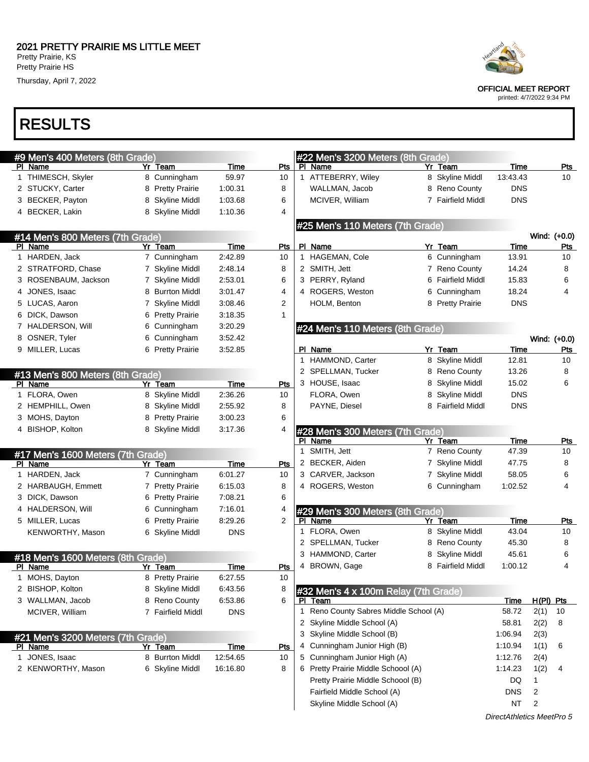Thursday, April 7, 2022

### RESULTS

|   | #9 Men's 400 Meters (8th Grade)              |                                          |                 |                | #22 Men's 3200 Meters (8th Grade)               |                   |               |                     |            |
|---|----------------------------------------------|------------------------------------------|-----------------|----------------|-------------------------------------------------|-------------------|---------------|---------------------|------------|
|   | PI Name                                      | Yr Team                                  | Time            | Pts            | PI Name                                         | Yr Team           | <b>Time</b>   |                     | <b>Pts</b> |
|   | 1 THIMESCH, Skyler                           | 8 Cunningham                             | 59.97           | 10             | 1 ATTEBERRY, Wiley                              | 8 Skyline Middl   | 13:43.43      |                     | 10         |
|   | 2 STUCKY, Carter                             | 8 Pretty Prairie                         | 1:00.31         | 8              | WALLMAN, Jacob                                  | 8 Reno County     | <b>DNS</b>    |                     |            |
|   | 3 BECKER, Payton                             | Skyline Middl<br>8                       | 1:03.68         | 6              | MCIVER, William                                 | 7 Fairfield Middl | <b>DNS</b>    |                     |            |
|   | 4 BECKER, Lakin                              | 8 Skyline Middl                          | 1:10.36         | 4              |                                                 |                   |               |                     |            |
|   |                                              |                                          |                 |                | #25 Men's 110 Meters (7th Grade)                |                   |               |                     |            |
|   | #14 Men's 800 Meters (7th Grade)             |                                          |                 |                |                                                 |                   |               | Wind: (+0.0)        |            |
|   | PI Name                                      | Yr Team                                  | Time            | <b>Pts</b>     | PI Name                                         | Yr Team           | Time          |                     | <b>Pts</b> |
|   | 1 HARDEN, Jack                               | 7 Cunningham                             | 2:42.89         | 10             | 1 HAGEMAN, Cole                                 | 6 Cunningham      | 13.91         |                     | 10         |
|   | 2 STRATFORD, Chase                           | 7 Skyline Middl                          | 2:48.14         | 8              | 2 SMITH, Jett                                   | 7 Reno County     | 14.24         |                     | 8          |
|   | 3 ROSENBAUM, Jackson                         | 7 Skyline Middl                          | 2:53.01         | 6              | 3 PERRY, Ryland                                 | 6 Fairfield Middl | 15.83         |                     | 6          |
|   | 4 JONES, Isaac                               | 8 Burrton Middl                          | 3:01.47         | 4              | 4 ROGERS, Weston                                | 6 Cunningham      | 18.24         |                     | 4          |
|   | 5 LUCAS, Aaron                               | Skyline Middl<br>7                       | 3:08.46         | $\overline{c}$ | HOLM, Benton                                    | 8 Pretty Prairie  | <b>DNS</b>    |                     |            |
|   | 6 DICK, Dawson                               | 6 Pretty Prairie                         | 3:18.35         | $\mathbf{1}$   |                                                 |                   |               |                     |            |
|   | 7 HALDERSON, Will                            | Cunningham<br>6                          | 3:20.29         |                | #24 Men's 110 Meters (8th Grade)                |                   |               |                     |            |
|   | 8 OSNER, Tyler                               | 6 Cunningham                             | 3.52.42         |                |                                                 |                   |               | Wind: (+0.0)        |            |
|   | 9 MILLER, Lucas                              | 6 Pretty Prairie                         | 3:52.85         |                | PI Name                                         | Yr Team           | Time          |                     | Pts        |
|   |                                              |                                          |                 |                | 1 HAMMOND, Carter                               | 8 Skyline Middl   | 12.81         |                     | 10         |
|   |                                              |                                          |                 |                | 2 SPELLMAN, Tucker                              | 8 Reno County     | 13.26         |                     | 8          |
|   | #13 Men's 800 Meters (8th Grade)<br>PI Name  | Yr Team                                  | Time            | <b>Pts</b>     | 3 HOUSE, Isaac                                  | 8 Skyline Middl   | 15.02         |                     | 6          |
|   | 1 FLORA, Owen                                | 8 Skyline Middl                          | 2:36.26         | 10             | FLORA, Owen                                     | 8 Skyline Middl   | <b>DNS</b>    |                     |            |
|   | 2 HEMPHILL, Owen                             | 8 Skyline Middl                          | 2:55.92         | 8              | PAYNE, Diesel                                   | 8 Fairfield Middl | <b>DNS</b>    |                     |            |
|   | 3 MOHS, Dayton                               | 8 Pretty Prairie                         | 3:00.23         | 6              |                                                 |                   |               |                     |            |
|   | 4 BISHOP, Kolton                             | 8 Skyline Middl                          | 3:17.36         | 4              |                                                 |                   |               |                     |            |
|   |                                              |                                          |                 |                | #28 Men's 300 Meters (7th Grade)<br>PI Name     | Yr Team           | <b>Time</b>   |                     | <b>Pts</b> |
|   |                                              |                                          |                 |                | 1 SMITH, Jett                                   | 7 Reno County     | 47.39         |                     | 10         |
|   | #17 Men's 1600 Meters (7th Grade)<br>PI Name | Yr Team                                  | Time            | Pts            | 2 BECKER, Aiden                                 | 7 Skyline Middl   | 47.75         |                     | 8          |
|   | 1 HARDEN, Jack                               | 7 Cunningham                             | 6:01.27         | 10             | 3 CARVER, Jackson                               | 7 Skyline Middl   | 58.05         |                     | 6          |
|   | 2 HARBAUGH, Emmett                           | 7 Pretty Prairie                         | 6:15.03         | 8              | 4 ROGERS, Weston                                | 6 Cunningham      | 1:02.52       |                     | 4          |
|   | 3 DICK, Dawson                               | 6 Pretty Prairie                         | 7:08.21         | 6              |                                                 |                   |               |                     |            |
|   | 4 HALDERSON, Will                            | 6 Cunningham                             | 7:16.01         | 4              |                                                 |                   |               |                     |            |
|   | 5 MILLER, Lucas                              | <b>Pretty Prairie</b><br>$6\phantom{.0}$ | 8:29.26         | $\overline{2}$ | #29 Men's 300 Meters (8th Grade)<br>PI Name     | Yr Team           | Time          |                     | <b>Pts</b> |
|   | KENWORTHY, Mason                             | 6 Skyline Middl                          | <b>DNS</b>      |                | 1 FLORA, Owen                                   | 8 Skyline Middl   | 43.04         |                     | 10         |
|   |                                              |                                          |                 |                | 2 SPELLMAN, Tucker                              | 8 Reno County     | 45.30         |                     | 8          |
|   |                                              |                                          |                 |                | 3 HAMMOND, Carter                               | 8 Skyline Middl   | 45.61         |                     | 6          |
|   | #18 Men's 1600 Meters (8th Grade)            |                                          |                 |                | 4 BROWN, Gage                                   | 8 Fairfield Middl | 1:00.12       |                     | 4          |
| 1 | PI Name<br>MOHS, Dayton                      | Yr Team<br>8 Pretty Prairie              | Time<br>6:27.55 | Pts<br>10      |                                                 |                   |               |                     |            |
|   | 2 BISHOP, Kolton                             | 8 Skyline Middl                          | 6:43.56         | 8              |                                                 |                   |               |                     |            |
|   |                                              |                                          |                 | 6              | #32 Men's 4 x 100m Relay (7th Grade)<br>PI Team |                   |               |                     |            |
|   | 3 WALLMAN, Jacob                             | 8 Reno County                            | 6:53.86         |                | 1 Reno County Sabres Middle School (A)          |                   | Time<br>58.72 | $H(PI)$ Pts<br>2(1) | 10         |
|   | MCIVER, William                              | 7 Fairfield Middl                        | <b>DNS</b>      |                | 2 Skyline Middle School (A)                     |                   | 58.81         |                     | 8          |
|   |                                              |                                          |                 |                | 3 Skyline Middle School (B)                     |                   |               | 2(2)                |            |
|   | #21 Men's 3200 Meters (7th Grade)            |                                          |                 |                |                                                 |                   | 1:06.94       | 2(3)                |            |
|   | PI Name                                      | Yr Team                                  | <u>Time</u>     | Pts            | 4 Cunningham Junior High (B)                    |                   | 1:10.94       | 1(1)                | 6          |
|   | 1 JONES, Isaac                               | 8 Burrton Middl                          | 12:54.65        | 10             | 5 Cunningham Junior High (A)                    |                   | 1:12.76       | 2(4)                |            |
|   | 2 KENWORTHY, Mason                           | 6 Skyline Middl                          | 16:16.80        | 8              | 6 Pretty Prairie Middle Schoool (A)             |                   | 1:14.23       | 1(2)                | 4          |
|   |                                              |                                          |                 |                | Pretty Prairie Middle Schoool (B)               |                   | DQ            | $\mathbf{1}$        |            |
|   |                                              |                                          |                 |                | Fairfield Middle School (A)                     |                   | <b>DNS</b>    | 2                   |            |
|   |                                              |                                          |                 |                | Skyline Middle School (A)                       |                   | NT            | $\overline{2}$      |            |



OFFICIAL MEET REPORT

printed: 4/7/2022 9:34 PM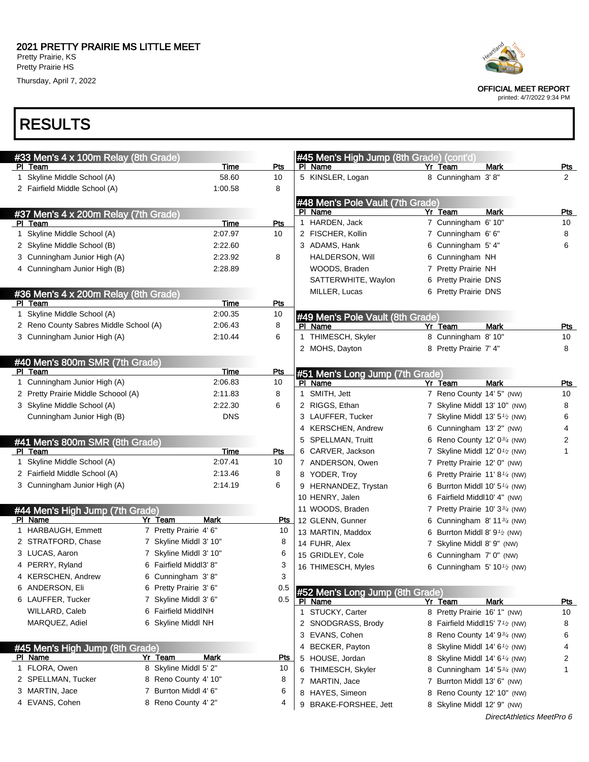



| Heartland |
|-----------|
|           |
|           |

OFFICIAL MEET REPORT

printed: 4/7/2022 9:34 PM

| 1 Skyline Middle School (A)<br>5 KINSLER, Logan<br>58.60<br>10<br>8 Cunningham 3'8"<br>2<br>2 Fairfield Middle School (A)<br>1:00.58<br>8<br>#48 Men's Pole Vault (7th Grade)<br>PI Name<br>Yr Team<br><b>Mark</b><br>Pts<br>#37 Men's 4 x 200m Relay (7th Grade)<br>1 HARDEN, Jack<br>7 Cunningham 6' 10"<br>10<br><b>Time</b><br>PI Team<br>Pts<br>1 Skyline Middle School (A)<br>2:07.97<br>2 FISCHER, Kollin<br>7 Cunningham 6' 6"<br>10<br>8<br>2 Skyline Middle School (B)<br>3 ADAMS, Hank<br>6 Cunningham 5' 4"<br>2:22.60<br>6<br>3 Cunningham Junior High (A)<br>2:23.92<br><b>HALDERSON, Will</b><br>6 Cunningham NH<br>8<br>4 Cunningham Junior High (B)<br>2:28.89<br>7 Pretty Prairie NH<br>WOODS, Braden<br>SATTERWHITE, Waylon<br>6 Pretty Prairie DNS<br>6 Pretty Prairie DNS<br>MILLER, Lucas<br>#36 Men's 4 x 200m Relay (8th Grade)<br><b>Time</b><br>PI Team<br>Pts<br>1 Skyline Middle School (A)<br>2:00.35<br>10<br>#49 Men's Pole Vault (8th Grade)<br>2 Reno County Sabres Middle School (A)<br>2:06.43<br>8<br>Yr Team<br>PI Name<br>Mark<br>Pts<br>1 THIMESCH, Skyler<br>3 Cunningham Junior High (A)<br>6<br>8 Cunningham 8' 10"<br>10<br>2:10.44<br>2 MOHS, Dayton<br>8 Pretty Prairie 7' 4"<br>8<br>#40 Men's 800m SMR (7th Grade)<br>Time<br>PI Team<br><u>Pts</u><br>#51 Men's Long Jump (7th Grade)<br>1 Cunningham Junior High (A)<br>2:06.83<br>10<br>Yr Team<br>PI Name<br><b>Mark</b><br><u>Pts</u><br>2 Pretty Prairie Middle Schoool (A)<br>1 SMITH, Jett<br>7 Reno County 14' 5" (NW)<br>10<br>2:11.83<br>8<br>3 Skyline Middle School (A)<br>2:22.30<br>6<br>2 RIGGS, Ethan<br>8<br>7 Skyline Middl 13' 10" (NW)<br><b>DNS</b><br>7 Skyline Middl 13' $5\frac{1}{2}$ (NW)<br>6<br>Cunningham Junior High (B)<br>3 LAUFFER, Tucker<br>6 Cunningham 13' 2" (NW)<br>4 KERSCHEN, Andrew<br>4<br>6 Reno County 12' 0 <sup>3/4</sup> (NW)<br>2<br>5 SPELLMAN, Truitt<br>#41 Men's 800m SMR (8th Grade)<br>Time<br>6 CARVER, Jackson<br>PI Team<br>Pts<br>7 Skyline Middl 12' $0\frac{1}{2}$ (NW)<br>1<br>1 Skyline Middle School (A)<br>2:07.41<br>10<br>7 ANDERSON, Owen<br>7 Pretty Prairie 12' 0" (NW)<br>2 Fairfield Middle School (A)<br>2:13.46<br>8<br>8 YODER, Troy<br>6 Pretty Prairie 11' 8 <sup><math>1/4</math></sup> (NW)<br>3 Cunningham Junior High (A)<br>2:14.19<br>6<br>9 HERNANDEZ, Trystan<br>6 Burrton Middl 10' $5\frac{1}{4}$ (NW)<br>10 HENRY, Jalen<br>6 Fairfield Middl10' 4" (NW)<br>11 WOODS, Braden<br>#44 Men's High Jump (7th Grade)<br>7 Pretty Prairie 10' 3 <sup>3/4</sup> (NW)<br><b>Mark</b><br>Yr Team<br>PI Name<br>Pts<br>12 GLENN, Gunner<br>6 Cunningham 8' 11 $\frac{3}{4}$ (NW)<br>7 Pretty Prairie 4' 6"<br>1 HARBAUGH, Emmett<br>10<br>13 MARTIN, Maddox<br>6 Burrton Middl 8' $91$ (NW)<br>2 STRATFORD, Chase<br>7 Skyline Middl 3' 10"<br>8<br>14 FUHR, Alex<br>7 Skyline Middl 8' 9" (NW)<br>3 LUCAS, Aaron<br>7 Skyline Middl 3' 10"<br>6<br>15 GRIDLEY, Cole<br>6 Cunningham 7' 0" (NW)<br>4 PERRY, Ryland<br>6 Fairfield Middl3' 8"<br>3<br>16 THIMESCH, Myles<br>6 Cunningham 5' $10\frac{1}{2}$ (NW)<br>4 KERSCHEN, Andrew<br>6 Cunningham 3'8"<br>3<br>6 ANDERSON, Eli<br>6 Pretty Prairie 3'6"<br>0.5<br>#52 Men's Long Jump (8th Grade)<br>0.5<br>6 LAUFFER, Tucker<br>7 Skyline Middl 3' 6"<br>PI Name<br>Yr Team<br>Mark<br><u>Pts</u><br>6 Fairfield MiddlNH<br>WILLARD, Caleb<br>1 STUCKY, Carter<br>8 Pretty Prairie 16' 1" (NW)<br>10<br>MARQUEZ, Adiel<br>6 Skyline Middl NH<br>2 SNODGRASS, Brody<br>8 Fairfield Middl15' 7 <sup>1</sup> / <sub>2</sub> (NW)<br>8<br>3 EVANS, Cohen<br>8 Reno County 14' 934 (NW)<br>6<br>4 BECKER, Payton<br>8 Skyline Middl 14' 6 <sup>1</sup> / <sub>2</sub> (NW)<br>#45 Men's High Jump (8th Grade)<br>4<br>Yr Team<br><b>Mark</b><br><u>Pts</u><br><u>PI Name</u><br>5 HOUSE, Jordan<br>8 Skyline Middl 14' 6 <sup>1/4</sup> (NW)<br>2<br>1 FLORA, Owen<br>8 Skyline Middl 5' 2"<br>10<br>6 THIMESCH, Skyler<br>8 Cunningham 14' 5 <sup>3/4</sup> (NW)<br>1<br>2 SPELLMAN, Tucker<br>8 Reno County 4' 10"<br>8<br>7 MARTIN, Jace<br>7 Burrton Middl 13' 6" (NW)<br>7 Burrton Middl 4' 6"<br>3 MARTIN, Jace<br>6<br>8 HAYES, Simeon<br>8 Reno County 12' 10" (NW)<br>4 EVANS, Cohen<br>8 Reno County 4' 2"<br>4<br>9 BRAKE-FORSHEE, Jett<br>8 Skyline Middl 12' 9" (NW) | PI Team | #33 Men's 4 x 100m Relay (8th Grade) | Time | Pts | #45 Men's High Jump (8th Grade) (cont'd)<br>PI Name | Yr Team | <b>Mark</b> | Pts |
|-----------------------------------------------------------------------------------------------------------------------------------------------------------------------------------------------------------------------------------------------------------------------------------------------------------------------------------------------------------------------------------------------------------------------------------------------------------------------------------------------------------------------------------------------------------------------------------------------------------------------------------------------------------------------------------------------------------------------------------------------------------------------------------------------------------------------------------------------------------------------------------------------------------------------------------------------------------------------------------------------------------------------------------------------------------------------------------------------------------------------------------------------------------------------------------------------------------------------------------------------------------------------------------------------------------------------------------------------------------------------------------------------------------------------------------------------------------------------------------------------------------------------------------------------------------------------------------------------------------------------------------------------------------------------------------------------------------------------------------------------------------------------------------------------------------------------------------------------------------------------------------------------------------------------------------------------------------------------------------------------------------------------------------------------------------------------------------------------------------------------------------------------------------------------------------------------------------------------------------------------------------------------------------------------------------------------------------------------------------------------------------------------------------------------------------------------------------------------------------------------------------------------------------------------------------------------------------------------------------------------------------------------------------------------------------------------------------------------------------------------------------------------------------------------------------------------------------------------------------------------------------------------------------------------------------------------------------------------------------------------------------------------------------------------------------------------------------------------------------------------------------------------------------------------------------------------------------------------------------------------------------------------------------------------------------------------------------------------------------------------------------------------------------------------------------------------------------------------------------------------------------------------------------------------------------------------------------------------------------------------------------------------------------------------------------------------------------------------------------------------------------------------------------------------------------------------------------------------------------------------------------------------------------------------------------------------------------------------------------------------------------------------------------------------------------------------------------------------------------------------------------------------------------------------------------------------------------------------------------------------------------------------------------------------------------------|---------|--------------------------------------|------|-----|-----------------------------------------------------|---------|-------------|-----|
|                                                                                                                                                                                                                                                                                                                                                                                                                                                                                                                                                                                                                                                                                                                                                                                                                                                                                                                                                                                                                                                                                                                                                                                                                                                                                                                                                                                                                                                                                                                                                                                                                                                                                                                                                                                                                                                                                                                                                                                                                                                                                                                                                                                                                                                                                                                                                                                                                                                                                                                                                                                                                                                                                                                                                                                                                                                                                                                                                                                                                                                                                                                                                                                                                                                                                                                                                                                                                                                                                                                                                                                                                                                                                                                                                                                                                                                                                                                                                                                                                                                                                                                                                                                                                                                                                                                 |         |                                      |      |     |                                                     |         |             |     |
|                                                                                                                                                                                                                                                                                                                                                                                                                                                                                                                                                                                                                                                                                                                                                                                                                                                                                                                                                                                                                                                                                                                                                                                                                                                                                                                                                                                                                                                                                                                                                                                                                                                                                                                                                                                                                                                                                                                                                                                                                                                                                                                                                                                                                                                                                                                                                                                                                                                                                                                                                                                                                                                                                                                                                                                                                                                                                                                                                                                                                                                                                                                                                                                                                                                                                                                                                                                                                                                                                                                                                                                                                                                                                                                                                                                                                                                                                                                                                                                                                                                                                                                                                                                                                                                                                                                 |         |                                      |      |     |                                                     |         |             |     |
|                                                                                                                                                                                                                                                                                                                                                                                                                                                                                                                                                                                                                                                                                                                                                                                                                                                                                                                                                                                                                                                                                                                                                                                                                                                                                                                                                                                                                                                                                                                                                                                                                                                                                                                                                                                                                                                                                                                                                                                                                                                                                                                                                                                                                                                                                                                                                                                                                                                                                                                                                                                                                                                                                                                                                                                                                                                                                                                                                                                                                                                                                                                                                                                                                                                                                                                                                                                                                                                                                                                                                                                                                                                                                                                                                                                                                                                                                                                                                                                                                                                                                                                                                                                                                                                                                                                 |         |                                      |      |     |                                                     |         |             |     |
|                                                                                                                                                                                                                                                                                                                                                                                                                                                                                                                                                                                                                                                                                                                                                                                                                                                                                                                                                                                                                                                                                                                                                                                                                                                                                                                                                                                                                                                                                                                                                                                                                                                                                                                                                                                                                                                                                                                                                                                                                                                                                                                                                                                                                                                                                                                                                                                                                                                                                                                                                                                                                                                                                                                                                                                                                                                                                                                                                                                                                                                                                                                                                                                                                                                                                                                                                                                                                                                                                                                                                                                                                                                                                                                                                                                                                                                                                                                                                                                                                                                                                                                                                                                                                                                                                                                 |         |                                      |      |     |                                                     |         |             |     |
|                                                                                                                                                                                                                                                                                                                                                                                                                                                                                                                                                                                                                                                                                                                                                                                                                                                                                                                                                                                                                                                                                                                                                                                                                                                                                                                                                                                                                                                                                                                                                                                                                                                                                                                                                                                                                                                                                                                                                                                                                                                                                                                                                                                                                                                                                                                                                                                                                                                                                                                                                                                                                                                                                                                                                                                                                                                                                                                                                                                                                                                                                                                                                                                                                                                                                                                                                                                                                                                                                                                                                                                                                                                                                                                                                                                                                                                                                                                                                                                                                                                                                                                                                                                                                                                                                                                 |         |                                      |      |     |                                                     |         |             |     |
|                                                                                                                                                                                                                                                                                                                                                                                                                                                                                                                                                                                                                                                                                                                                                                                                                                                                                                                                                                                                                                                                                                                                                                                                                                                                                                                                                                                                                                                                                                                                                                                                                                                                                                                                                                                                                                                                                                                                                                                                                                                                                                                                                                                                                                                                                                                                                                                                                                                                                                                                                                                                                                                                                                                                                                                                                                                                                                                                                                                                                                                                                                                                                                                                                                                                                                                                                                                                                                                                                                                                                                                                                                                                                                                                                                                                                                                                                                                                                                                                                                                                                                                                                                                                                                                                                                                 |         |                                      |      |     |                                                     |         |             |     |
|                                                                                                                                                                                                                                                                                                                                                                                                                                                                                                                                                                                                                                                                                                                                                                                                                                                                                                                                                                                                                                                                                                                                                                                                                                                                                                                                                                                                                                                                                                                                                                                                                                                                                                                                                                                                                                                                                                                                                                                                                                                                                                                                                                                                                                                                                                                                                                                                                                                                                                                                                                                                                                                                                                                                                                                                                                                                                                                                                                                                                                                                                                                                                                                                                                                                                                                                                                                                                                                                                                                                                                                                                                                                                                                                                                                                                                                                                                                                                                                                                                                                                                                                                                                                                                                                                                                 |         |                                      |      |     |                                                     |         |             |     |
|                                                                                                                                                                                                                                                                                                                                                                                                                                                                                                                                                                                                                                                                                                                                                                                                                                                                                                                                                                                                                                                                                                                                                                                                                                                                                                                                                                                                                                                                                                                                                                                                                                                                                                                                                                                                                                                                                                                                                                                                                                                                                                                                                                                                                                                                                                                                                                                                                                                                                                                                                                                                                                                                                                                                                                                                                                                                                                                                                                                                                                                                                                                                                                                                                                                                                                                                                                                                                                                                                                                                                                                                                                                                                                                                                                                                                                                                                                                                                                                                                                                                                                                                                                                                                                                                                                                 |         |                                      |      |     |                                                     |         |             |     |
|                                                                                                                                                                                                                                                                                                                                                                                                                                                                                                                                                                                                                                                                                                                                                                                                                                                                                                                                                                                                                                                                                                                                                                                                                                                                                                                                                                                                                                                                                                                                                                                                                                                                                                                                                                                                                                                                                                                                                                                                                                                                                                                                                                                                                                                                                                                                                                                                                                                                                                                                                                                                                                                                                                                                                                                                                                                                                                                                                                                                                                                                                                                                                                                                                                                                                                                                                                                                                                                                                                                                                                                                                                                                                                                                                                                                                                                                                                                                                                                                                                                                                                                                                                                                                                                                                                                 |         |                                      |      |     |                                                     |         |             |     |
|                                                                                                                                                                                                                                                                                                                                                                                                                                                                                                                                                                                                                                                                                                                                                                                                                                                                                                                                                                                                                                                                                                                                                                                                                                                                                                                                                                                                                                                                                                                                                                                                                                                                                                                                                                                                                                                                                                                                                                                                                                                                                                                                                                                                                                                                                                                                                                                                                                                                                                                                                                                                                                                                                                                                                                                                                                                                                                                                                                                                                                                                                                                                                                                                                                                                                                                                                                                                                                                                                                                                                                                                                                                                                                                                                                                                                                                                                                                                                                                                                                                                                                                                                                                                                                                                                                                 |         |                                      |      |     |                                                     |         |             |     |
|                                                                                                                                                                                                                                                                                                                                                                                                                                                                                                                                                                                                                                                                                                                                                                                                                                                                                                                                                                                                                                                                                                                                                                                                                                                                                                                                                                                                                                                                                                                                                                                                                                                                                                                                                                                                                                                                                                                                                                                                                                                                                                                                                                                                                                                                                                                                                                                                                                                                                                                                                                                                                                                                                                                                                                                                                                                                                                                                                                                                                                                                                                                                                                                                                                                                                                                                                                                                                                                                                                                                                                                                                                                                                                                                                                                                                                                                                                                                                                                                                                                                                                                                                                                                                                                                                                                 |         |                                      |      |     |                                                     |         |             |     |
|                                                                                                                                                                                                                                                                                                                                                                                                                                                                                                                                                                                                                                                                                                                                                                                                                                                                                                                                                                                                                                                                                                                                                                                                                                                                                                                                                                                                                                                                                                                                                                                                                                                                                                                                                                                                                                                                                                                                                                                                                                                                                                                                                                                                                                                                                                                                                                                                                                                                                                                                                                                                                                                                                                                                                                                                                                                                                                                                                                                                                                                                                                                                                                                                                                                                                                                                                                                                                                                                                                                                                                                                                                                                                                                                                                                                                                                                                                                                                                                                                                                                                                                                                                                                                                                                                                                 |         |                                      |      |     |                                                     |         |             |     |
|                                                                                                                                                                                                                                                                                                                                                                                                                                                                                                                                                                                                                                                                                                                                                                                                                                                                                                                                                                                                                                                                                                                                                                                                                                                                                                                                                                                                                                                                                                                                                                                                                                                                                                                                                                                                                                                                                                                                                                                                                                                                                                                                                                                                                                                                                                                                                                                                                                                                                                                                                                                                                                                                                                                                                                                                                                                                                                                                                                                                                                                                                                                                                                                                                                                                                                                                                                                                                                                                                                                                                                                                                                                                                                                                                                                                                                                                                                                                                                                                                                                                                                                                                                                                                                                                                                                 |         |                                      |      |     |                                                     |         |             |     |
|                                                                                                                                                                                                                                                                                                                                                                                                                                                                                                                                                                                                                                                                                                                                                                                                                                                                                                                                                                                                                                                                                                                                                                                                                                                                                                                                                                                                                                                                                                                                                                                                                                                                                                                                                                                                                                                                                                                                                                                                                                                                                                                                                                                                                                                                                                                                                                                                                                                                                                                                                                                                                                                                                                                                                                                                                                                                                                                                                                                                                                                                                                                                                                                                                                                                                                                                                                                                                                                                                                                                                                                                                                                                                                                                                                                                                                                                                                                                                                                                                                                                                                                                                                                                                                                                                                                 |         |                                      |      |     |                                                     |         |             |     |
|                                                                                                                                                                                                                                                                                                                                                                                                                                                                                                                                                                                                                                                                                                                                                                                                                                                                                                                                                                                                                                                                                                                                                                                                                                                                                                                                                                                                                                                                                                                                                                                                                                                                                                                                                                                                                                                                                                                                                                                                                                                                                                                                                                                                                                                                                                                                                                                                                                                                                                                                                                                                                                                                                                                                                                                                                                                                                                                                                                                                                                                                                                                                                                                                                                                                                                                                                                                                                                                                                                                                                                                                                                                                                                                                                                                                                                                                                                                                                                                                                                                                                                                                                                                                                                                                                                                 |         |                                      |      |     |                                                     |         |             |     |
|                                                                                                                                                                                                                                                                                                                                                                                                                                                                                                                                                                                                                                                                                                                                                                                                                                                                                                                                                                                                                                                                                                                                                                                                                                                                                                                                                                                                                                                                                                                                                                                                                                                                                                                                                                                                                                                                                                                                                                                                                                                                                                                                                                                                                                                                                                                                                                                                                                                                                                                                                                                                                                                                                                                                                                                                                                                                                                                                                                                                                                                                                                                                                                                                                                                                                                                                                                                                                                                                                                                                                                                                                                                                                                                                                                                                                                                                                                                                                                                                                                                                                                                                                                                                                                                                                                                 |         |                                      |      |     |                                                     |         |             |     |
|                                                                                                                                                                                                                                                                                                                                                                                                                                                                                                                                                                                                                                                                                                                                                                                                                                                                                                                                                                                                                                                                                                                                                                                                                                                                                                                                                                                                                                                                                                                                                                                                                                                                                                                                                                                                                                                                                                                                                                                                                                                                                                                                                                                                                                                                                                                                                                                                                                                                                                                                                                                                                                                                                                                                                                                                                                                                                                                                                                                                                                                                                                                                                                                                                                                                                                                                                                                                                                                                                                                                                                                                                                                                                                                                                                                                                                                                                                                                                                                                                                                                                                                                                                                                                                                                                                                 |         |                                      |      |     |                                                     |         |             |     |
|                                                                                                                                                                                                                                                                                                                                                                                                                                                                                                                                                                                                                                                                                                                                                                                                                                                                                                                                                                                                                                                                                                                                                                                                                                                                                                                                                                                                                                                                                                                                                                                                                                                                                                                                                                                                                                                                                                                                                                                                                                                                                                                                                                                                                                                                                                                                                                                                                                                                                                                                                                                                                                                                                                                                                                                                                                                                                                                                                                                                                                                                                                                                                                                                                                                                                                                                                                                                                                                                                                                                                                                                                                                                                                                                                                                                                                                                                                                                                                                                                                                                                                                                                                                                                                                                                                                 |         |                                      |      |     |                                                     |         |             |     |
|                                                                                                                                                                                                                                                                                                                                                                                                                                                                                                                                                                                                                                                                                                                                                                                                                                                                                                                                                                                                                                                                                                                                                                                                                                                                                                                                                                                                                                                                                                                                                                                                                                                                                                                                                                                                                                                                                                                                                                                                                                                                                                                                                                                                                                                                                                                                                                                                                                                                                                                                                                                                                                                                                                                                                                                                                                                                                                                                                                                                                                                                                                                                                                                                                                                                                                                                                                                                                                                                                                                                                                                                                                                                                                                                                                                                                                                                                                                                                                                                                                                                                                                                                                                                                                                                                                                 |         |                                      |      |     |                                                     |         |             |     |
|                                                                                                                                                                                                                                                                                                                                                                                                                                                                                                                                                                                                                                                                                                                                                                                                                                                                                                                                                                                                                                                                                                                                                                                                                                                                                                                                                                                                                                                                                                                                                                                                                                                                                                                                                                                                                                                                                                                                                                                                                                                                                                                                                                                                                                                                                                                                                                                                                                                                                                                                                                                                                                                                                                                                                                                                                                                                                                                                                                                                                                                                                                                                                                                                                                                                                                                                                                                                                                                                                                                                                                                                                                                                                                                                                                                                                                                                                                                                                                                                                                                                                                                                                                                                                                                                                                                 |         |                                      |      |     |                                                     |         |             |     |
|                                                                                                                                                                                                                                                                                                                                                                                                                                                                                                                                                                                                                                                                                                                                                                                                                                                                                                                                                                                                                                                                                                                                                                                                                                                                                                                                                                                                                                                                                                                                                                                                                                                                                                                                                                                                                                                                                                                                                                                                                                                                                                                                                                                                                                                                                                                                                                                                                                                                                                                                                                                                                                                                                                                                                                                                                                                                                                                                                                                                                                                                                                                                                                                                                                                                                                                                                                                                                                                                                                                                                                                                                                                                                                                                                                                                                                                                                                                                                                                                                                                                                                                                                                                                                                                                                                                 |         |                                      |      |     |                                                     |         |             |     |
|                                                                                                                                                                                                                                                                                                                                                                                                                                                                                                                                                                                                                                                                                                                                                                                                                                                                                                                                                                                                                                                                                                                                                                                                                                                                                                                                                                                                                                                                                                                                                                                                                                                                                                                                                                                                                                                                                                                                                                                                                                                                                                                                                                                                                                                                                                                                                                                                                                                                                                                                                                                                                                                                                                                                                                                                                                                                                                                                                                                                                                                                                                                                                                                                                                                                                                                                                                                                                                                                                                                                                                                                                                                                                                                                                                                                                                                                                                                                                                                                                                                                                                                                                                                                                                                                                                                 |         |                                      |      |     |                                                     |         |             |     |
|                                                                                                                                                                                                                                                                                                                                                                                                                                                                                                                                                                                                                                                                                                                                                                                                                                                                                                                                                                                                                                                                                                                                                                                                                                                                                                                                                                                                                                                                                                                                                                                                                                                                                                                                                                                                                                                                                                                                                                                                                                                                                                                                                                                                                                                                                                                                                                                                                                                                                                                                                                                                                                                                                                                                                                                                                                                                                                                                                                                                                                                                                                                                                                                                                                                                                                                                                                                                                                                                                                                                                                                                                                                                                                                                                                                                                                                                                                                                                                                                                                                                                                                                                                                                                                                                                                                 |         |                                      |      |     |                                                     |         |             |     |
|                                                                                                                                                                                                                                                                                                                                                                                                                                                                                                                                                                                                                                                                                                                                                                                                                                                                                                                                                                                                                                                                                                                                                                                                                                                                                                                                                                                                                                                                                                                                                                                                                                                                                                                                                                                                                                                                                                                                                                                                                                                                                                                                                                                                                                                                                                                                                                                                                                                                                                                                                                                                                                                                                                                                                                                                                                                                                                                                                                                                                                                                                                                                                                                                                                                                                                                                                                                                                                                                                                                                                                                                                                                                                                                                                                                                                                                                                                                                                                                                                                                                                                                                                                                                                                                                                                                 |         |                                      |      |     |                                                     |         |             |     |
|                                                                                                                                                                                                                                                                                                                                                                                                                                                                                                                                                                                                                                                                                                                                                                                                                                                                                                                                                                                                                                                                                                                                                                                                                                                                                                                                                                                                                                                                                                                                                                                                                                                                                                                                                                                                                                                                                                                                                                                                                                                                                                                                                                                                                                                                                                                                                                                                                                                                                                                                                                                                                                                                                                                                                                                                                                                                                                                                                                                                                                                                                                                                                                                                                                                                                                                                                                                                                                                                                                                                                                                                                                                                                                                                                                                                                                                                                                                                                                                                                                                                                                                                                                                                                                                                                                                 |         |                                      |      |     |                                                     |         |             |     |
|                                                                                                                                                                                                                                                                                                                                                                                                                                                                                                                                                                                                                                                                                                                                                                                                                                                                                                                                                                                                                                                                                                                                                                                                                                                                                                                                                                                                                                                                                                                                                                                                                                                                                                                                                                                                                                                                                                                                                                                                                                                                                                                                                                                                                                                                                                                                                                                                                                                                                                                                                                                                                                                                                                                                                                                                                                                                                                                                                                                                                                                                                                                                                                                                                                                                                                                                                                                                                                                                                                                                                                                                                                                                                                                                                                                                                                                                                                                                                                                                                                                                                                                                                                                                                                                                                                                 |         |                                      |      |     |                                                     |         |             |     |
|                                                                                                                                                                                                                                                                                                                                                                                                                                                                                                                                                                                                                                                                                                                                                                                                                                                                                                                                                                                                                                                                                                                                                                                                                                                                                                                                                                                                                                                                                                                                                                                                                                                                                                                                                                                                                                                                                                                                                                                                                                                                                                                                                                                                                                                                                                                                                                                                                                                                                                                                                                                                                                                                                                                                                                                                                                                                                                                                                                                                                                                                                                                                                                                                                                                                                                                                                                                                                                                                                                                                                                                                                                                                                                                                                                                                                                                                                                                                                                                                                                                                                                                                                                                                                                                                                                                 |         |                                      |      |     |                                                     |         |             |     |
|                                                                                                                                                                                                                                                                                                                                                                                                                                                                                                                                                                                                                                                                                                                                                                                                                                                                                                                                                                                                                                                                                                                                                                                                                                                                                                                                                                                                                                                                                                                                                                                                                                                                                                                                                                                                                                                                                                                                                                                                                                                                                                                                                                                                                                                                                                                                                                                                                                                                                                                                                                                                                                                                                                                                                                                                                                                                                                                                                                                                                                                                                                                                                                                                                                                                                                                                                                                                                                                                                                                                                                                                                                                                                                                                                                                                                                                                                                                                                                                                                                                                                                                                                                                                                                                                                                                 |         |                                      |      |     |                                                     |         |             |     |
|                                                                                                                                                                                                                                                                                                                                                                                                                                                                                                                                                                                                                                                                                                                                                                                                                                                                                                                                                                                                                                                                                                                                                                                                                                                                                                                                                                                                                                                                                                                                                                                                                                                                                                                                                                                                                                                                                                                                                                                                                                                                                                                                                                                                                                                                                                                                                                                                                                                                                                                                                                                                                                                                                                                                                                                                                                                                                                                                                                                                                                                                                                                                                                                                                                                                                                                                                                                                                                                                                                                                                                                                                                                                                                                                                                                                                                                                                                                                                                                                                                                                                                                                                                                                                                                                                                                 |         |                                      |      |     |                                                     |         |             |     |
|                                                                                                                                                                                                                                                                                                                                                                                                                                                                                                                                                                                                                                                                                                                                                                                                                                                                                                                                                                                                                                                                                                                                                                                                                                                                                                                                                                                                                                                                                                                                                                                                                                                                                                                                                                                                                                                                                                                                                                                                                                                                                                                                                                                                                                                                                                                                                                                                                                                                                                                                                                                                                                                                                                                                                                                                                                                                                                                                                                                                                                                                                                                                                                                                                                                                                                                                                                                                                                                                                                                                                                                                                                                                                                                                                                                                                                                                                                                                                                                                                                                                                                                                                                                                                                                                                                                 |         |                                      |      |     |                                                     |         |             |     |
|                                                                                                                                                                                                                                                                                                                                                                                                                                                                                                                                                                                                                                                                                                                                                                                                                                                                                                                                                                                                                                                                                                                                                                                                                                                                                                                                                                                                                                                                                                                                                                                                                                                                                                                                                                                                                                                                                                                                                                                                                                                                                                                                                                                                                                                                                                                                                                                                                                                                                                                                                                                                                                                                                                                                                                                                                                                                                                                                                                                                                                                                                                                                                                                                                                                                                                                                                                                                                                                                                                                                                                                                                                                                                                                                                                                                                                                                                                                                                                                                                                                                                                                                                                                                                                                                                                                 |         |                                      |      |     |                                                     |         |             |     |
|                                                                                                                                                                                                                                                                                                                                                                                                                                                                                                                                                                                                                                                                                                                                                                                                                                                                                                                                                                                                                                                                                                                                                                                                                                                                                                                                                                                                                                                                                                                                                                                                                                                                                                                                                                                                                                                                                                                                                                                                                                                                                                                                                                                                                                                                                                                                                                                                                                                                                                                                                                                                                                                                                                                                                                                                                                                                                                                                                                                                                                                                                                                                                                                                                                                                                                                                                                                                                                                                                                                                                                                                                                                                                                                                                                                                                                                                                                                                                                                                                                                                                                                                                                                                                                                                                                                 |         |                                      |      |     |                                                     |         |             |     |
|                                                                                                                                                                                                                                                                                                                                                                                                                                                                                                                                                                                                                                                                                                                                                                                                                                                                                                                                                                                                                                                                                                                                                                                                                                                                                                                                                                                                                                                                                                                                                                                                                                                                                                                                                                                                                                                                                                                                                                                                                                                                                                                                                                                                                                                                                                                                                                                                                                                                                                                                                                                                                                                                                                                                                                                                                                                                                                                                                                                                                                                                                                                                                                                                                                                                                                                                                                                                                                                                                                                                                                                                                                                                                                                                                                                                                                                                                                                                                                                                                                                                                                                                                                                                                                                                                                                 |         |                                      |      |     |                                                     |         |             |     |
|                                                                                                                                                                                                                                                                                                                                                                                                                                                                                                                                                                                                                                                                                                                                                                                                                                                                                                                                                                                                                                                                                                                                                                                                                                                                                                                                                                                                                                                                                                                                                                                                                                                                                                                                                                                                                                                                                                                                                                                                                                                                                                                                                                                                                                                                                                                                                                                                                                                                                                                                                                                                                                                                                                                                                                                                                                                                                                                                                                                                                                                                                                                                                                                                                                                                                                                                                                                                                                                                                                                                                                                                                                                                                                                                                                                                                                                                                                                                                                                                                                                                                                                                                                                                                                                                                                                 |         |                                      |      |     |                                                     |         |             |     |
|                                                                                                                                                                                                                                                                                                                                                                                                                                                                                                                                                                                                                                                                                                                                                                                                                                                                                                                                                                                                                                                                                                                                                                                                                                                                                                                                                                                                                                                                                                                                                                                                                                                                                                                                                                                                                                                                                                                                                                                                                                                                                                                                                                                                                                                                                                                                                                                                                                                                                                                                                                                                                                                                                                                                                                                                                                                                                                                                                                                                                                                                                                                                                                                                                                                                                                                                                                                                                                                                                                                                                                                                                                                                                                                                                                                                                                                                                                                                                                                                                                                                                                                                                                                                                                                                                                                 |         |                                      |      |     |                                                     |         |             |     |
|                                                                                                                                                                                                                                                                                                                                                                                                                                                                                                                                                                                                                                                                                                                                                                                                                                                                                                                                                                                                                                                                                                                                                                                                                                                                                                                                                                                                                                                                                                                                                                                                                                                                                                                                                                                                                                                                                                                                                                                                                                                                                                                                                                                                                                                                                                                                                                                                                                                                                                                                                                                                                                                                                                                                                                                                                                                                                                                                                                                                                                                                                                                                                                                                                                                                                                                                                                                                                                                                                                                                                                                                                                                                                                                                                                                                                                                                                                                                                                                                                                                                                                                                                                                                                                                                                                                 |         |                                      |      |     |                                                     |         |             |     |
|                                                                                                                                                                                                                                                                                                                                                                                                                                                                                                                                                                                                                                                                                                                                                                                                                                                                                                                                                                                                                                                                                                                                                                                                                                                                                                                                                                                                                                                                                                                                                                                                                                                                                                                                                                                                                                                                                                                                                                                                                                                                                                                                                                                                                                                                                                                                                                                                                                                                                                                                                                                                                                                                                                                                                                                                                                                                                                                                                                                                                                                                                                                                                                                                                                                                                                                                                                                                                                                                                                                                                                                                                                                                                                                                                                                                                                                                                                                                                                                                                                                                                                                                                                                                                                                                                                                 |         |                                      |      |     |                                                     |         |             |     |
|                                                                                                                                                                                                                                                                                                                                                                                                                                                                                                                                                                                                                                                                                                                                                                                                                                                                                                                                                                                                                                                                                                                                                                                                                                                                                                                                                                                                                                                                                                                                                                                                                                                                                                                                                                                                                                                                                                                                                                                                                                                                                                                                                                                                                                                                                                                                                                                                                                                                                                                                                                                                                                                                                                                                                                                                                                                                                                                                                                                                                                                                                                                                                                                                                                                                                                                                                                                                                                                                                                                                                                                                                                                                                                                                                                                                                                                                                                                                                                                                                                                                                                                                                                                                                                                                                                                 |         |                                      |      |     |                                                     |         |             |     |
|                                                                                                                                                                                                                                                                                                                                                                                                                                                                                                                                                                                                                                                                                                                                                                                                                                                                                                                                                                                                                                                                                                                                                                                                                                                                                                                                                                                                                                                                                                                                                                                                                                                                                                                                                                                                                                                                                                                                                                                                                                                                                                                                                                                                                                                                                                                                                                                                                                                                                                                                                                                                                                                                                                                                                                                                                                                                                                                                                                                                                                                                                                                                                                                                                                                                                                                                                                                                                                                                                                                                                                                                                                                                                                                                                                                                                                                                                                                                                                                                                                                                                                                                                                                                                                                                                                                 |         |                                      |      |     |                                                     |         |             |     |
|                                                                                                                                                                                                                                                                                                                                                                                                                                                                                                                                                                                                                                                                                                                                                                                                                                                                                                                                                                                                                                                                                                                                                                                                                                                                                                                                                                                                                                                                                                                                                                                                                                                                                                                                                                                                                                                                                                                                                                                                                                                                                                                                                                                                                                                                                                                                                                                                                                                                                                                                                                                                                                                                                                                                                                                                                                                                                                                                                                                                                                                                                                                                                                                                                                                                                                                                                                                                                                                                                                                                                                                                                                                                                                                                                                                                                                                                                                                                                                                                                                                                                                                                                                                                                                                                                                                 |         |                                      |      |     |                                                     |         |             |     |
|                                                                                                                                                                                                                                                                                                                                                                                                                                                                                                                                                                                                                                                                                                                                                                                                                                                                                                                                                                                                                                                                                                                                                                                                                                                                                                                                                                                                                                                                                                                                                                                                                                                                                                                                                                                                                                                                                                                                                                                                                                                                                                                                                                                                                                                                                                                                                                                                                                                                                                                                                                                                                                                                                                                                                                                                                                                                                                                                                                                                                                                                                                                                                                                                                                                                                                                                                                                                                                                                                                                                                                                                                                                                                                                                                                                                                                                                                                                                                                                                                                                                                                                                                                                                                                                                                                                 |         |                                      |      |     |                                                     |         |             |     |
|                                                                                                                                                                                                                                                                                                                                                                                                                                                                                                                                                                                                                                                                                                                                                                                                                                                                                                                                                                                                                                                                                                                                                                                                                                                                                                                                                                                                                                                                                                                                                                                                                                                                                                                                                                                                                                                                                                                                                                                                                                                                                                                                                                                                                                                                                                                                                                                                                                                                                                                                                                                                                                                                                                                                                                                                                                                                                                                                                                                                                                                                                                                                                                                                                                                                                                                                                                                                                                                                                                                                                                                                                                                                                                                                                                                                                                                                                                                                                                                                                                                                                                                                                                                                                                                                                                                 |         |                                      |      |     |                                                     |         |             |     |
|                                                                                                                                                                                                                                                                                                                                                                                                                                                                                                                                                                                                                                                                                                                                                                                                                                                                                                                                                                                                                                                                                                                                                                                                                                                                                                                                                                                                                                                                                                                                                                                                                                                                                                                                                                                                                                                                                                                                                                                                                                                                                                                                                                                                                                                                                                                                                                                                                                                                                                                                                                                                                                                                                                                                                                                                                                                                                                                                                                                                                                                                                                                                                                                                                                                                                                                                                                                                                                                                                                                                                                                                                                                                                                                                                                                                                                                                                                                                                                                                                                                                                                                                                                                                                                                                                                                 |         |                                      |      |     |                                                     |         |             |     |
|                                                                                                                                                                                                                                                                                                                                                                                                                                                                                                                                                                                                                                                                                                                                                                                                                                                                                                                                                                                                                                                                                                                                                                                                                                                                                                                                                                                                                                                                                                                                                                                                                                                                                                                                                                                                                                                                                                                                                                                                                                                                                                                                                                                                                                                                                                                                                                                                                                                                                                                                                                                                                                                                                                                                                                                                                                                                                                                                                                                                                                                                                                                                                                                                                                                                                                                                                                                                                                                                                                                                                                                                                                                                                                                                                                                                                                                                                                                                                                                                                                                                                                                                                                                                                                                                                                                 |         |                                      |      |     |                                                     |         |             |     |
|                                                                                                                                                                                                                                                                                                                                                                                                                                                                                                                                                                                                                                                                                                                                                                                                                                                                                                                                                                                                                                                                                                                                                                                                                                                                                                                                                                                                                                                                                                                                                                                                                                                                                                                                                                                                                                                                                                                                                                                                                                                                                                                                                                                                                                                                                                                                                                                                                                                                                                                                                                                                                                                                                                                                                                                                                                                                                                                                                                                                                                                                                                                                                                                                                                                                                                                                                                                                                                                                                                                                                                                                                                                                                                                                                                                                                                                                                                                                                                                                                                                                                                                                                                                                                                                                                                                 |         |                                      |      |     |                                                     |         |             |     |
|                                                                                                                                                                                                                                                                                                                                                                                                                                                                                                                                                                                                                                                                                                                                                                                                                                                                                                                                                                                                                                                                                                                                                                                                                                                                                                                                                                                                                                                                                                                                                                                                                                                                                                                                                                                                                                                                                                                                                                                                                                                                                                                                                                                                                                                                                                                                                                                                                                                                                                                                                                                                                                                                                                                                                                                                                                                                                                                                                                                                                                                                                                                                                                                                                                                                                                                                                                                                                                                                                                                                                                                                                                                                                                                                                                                                                                                                                                                                                                                                                                                                                                                                                                                                                                                                                                                 |         |                                      |      |     |                                                     |         |             |     |
|                                                                                                                                                                                                                                                                                                                                                                                                                                                                                                                                                                                                                                                                                                                                                                                                                                                                                                                                                                                                                                                                                                                                                                                                                                                                                                                                                                                                                                                                                                                                                                                                                                                                                                                                                                                                                                                                                                                                                                                                                                                                                                                                                                                                                                                                                                                                                                                                                                                                                                                                                                                                                                                                                                                                                                                                                                                                                                                                                                                                                                                                                                                                                                                                                                                                                                                                                                                                                                                                                                                                                                                                                                                                                                                                                                                                                                                                                                                                                                                                                                                                                                                                                                                                                                                                                                                 |         |                                      |      |     |                                                     |         |             |     |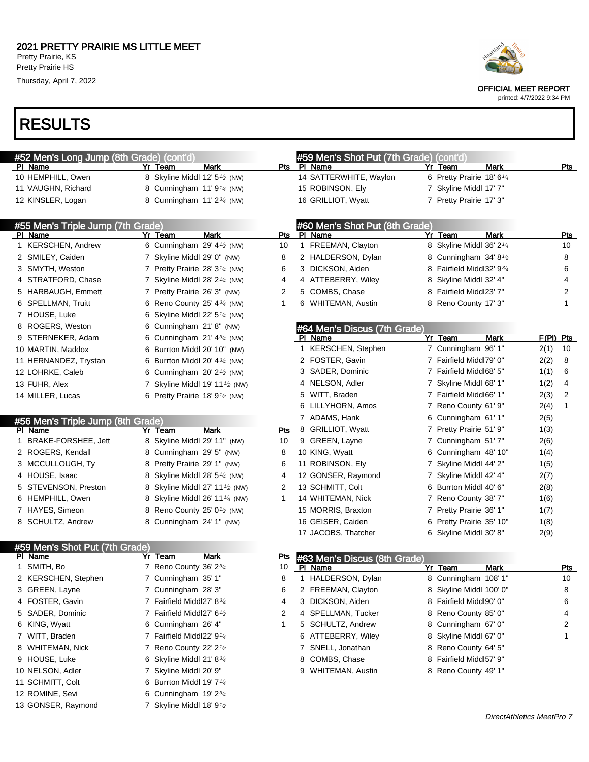Thursday, April 7, 2022

## RESULTS

| #52 Men's Long Jump (8th Grade) (cont'd) |                                                         |              | #59 Men's Shot Put (7th Grade) (cont'd)  |   |                                       |                        |
|------------------------------------------|---------------------------------------------------------|--------------|------------------------------------------|---|---------------------------------------|------------------------|
| PI Name                                  | Yr Team<br>Mark                                         |              | Pts   PI Name                            |   | Yr Team<br>Mark                       | <u>Pts</u>             |
| 10 HEMPHILL, Owen                        | 8 Skyline Middl 12' $5\frac{1}{2}$ (NW)                 |              | 14 SATTERWHITE, Waylon                   |   | 6 Pretty Prairie 18' 6 <sup>1/4</sup> |                        |
| 11 VAUGHN, Richard                       | 8 Cunningham $11'9'4$ (NW)                              |              | 15 ROBINSON, Ely                         |   | 7 Skyline Middl 17' 7"                |                        |
| 12 KINSLER, Logan                        | 8 Cunningham $11'2^{3/4}$ (NW)                          |              | 16 GRILLIOT, Wyatt                       |   | 7 Pretty Prairie 17' 3"               |                        |
| #55 Men's Triple Jump (7th Grade)        |                                                         |              | #60 Men's Shot Put (8th Grade)           |   |                                       |                        |
| PI Name                                  | Mark<br>Yr Team                                         | Pts          | PI Name                                  |   | Yr Team<br>Mark                       | <u>Pts</u>             |
| 1 KERSCHEN, Andrew                       | 6 Cunningham 29' $4\frac{1}{2}$ (NW)                    | 10           | 1 FREEMAN, Clayton                       |   | 8 Skyline Middl 36' 2 <sup>1/4</sup>  | 10                     |
| 2 SMILEY, Caiden                         | 7 Skyline Middl 29' 0" (NW)                             | 8            | 2 HALDERSON, Dylan                       |   | 8 Cunningham 34'8 <sup>1</sup> /2     | 8                      |
| 3 SMYTH, Weston                          | 7 Pretty Prairie 28' 3 <sup>1/4</sup> (NW)              | 6            | 3 DICKSON, Aiden                         |   | 8 Fairfield Middl32' 934              | 6                      |
| 4 STRATFORD, Chase                       | 7 Skyline Middl 28' $2\frac{1}{4}$ (NW)                 | 4            | 4 ATTEBERRY, Wiley                       | 8 | Skyline Middl 32' 4"                  | 4                      |
| 5 HARBAUGH, Emmett                       | 7 Pretty Prairie 26' 3" (NW)                            | 2            | 5 COMBS, Chase                           |   | 8 Fairfield Middl23' 7"               | 2                      |
| 6 SPELLMAN, Truitt                       | 6 Reno County 25' $4\frac{3}{4}$ (NW)                   | 1            | 6 WHITEMAN, Austin                       |   | 8 Reno County 17' 3"                  | 1                      |
| 7 HOUSE, Luke                            | 6 Skyline Middl 22' $5\frac{1}{4}$ (NW)                 |              |                                          |   |                                       |                        |
| 8 ROGERS, Weston                         | 6 Cunningham 21'8" (NW)                                 |              | #64 Men's Discus (7th Grade)             |   |                                       |                        |
| 9 STERNEKER, Adam                        | 6 Cunningham $21' 4^{3/4}$ (NW)                         |              | PI Name                                  |   | Yr Team<br>Mark                       | $F(PI)$ Pts            |
| 10 MARTIN, Maddox                        | 6 Burrton Middl 20' 10" (NW)                            |              | <b>KERSCHEN, Stephen</b><br>$\mathbf{1}$ |   | 7 Cunningham 96' 1"                   | 2(1)<br>10             |
| 11 HERNANDEZ, Trystan                    | 6 Burrton Middl 20' $4\frac{3}{4}$ (NW)                 |              | 2 FOSTER, Gavin                          |   | 7 Fairfield Middl79' 0"               | 2(2)<br>8              |
| 12 LOHRKE, Caleb                         | 6 Cunningham $20'2'$ (NW)                               |              | 3 SADER, Dominic                         |   | 7 Fairfield Middl68' 5"               | 6<br>1(1)              |
| 13 FUHR, Alex                            | 7 Skyline Middl 19' 11 $\frac{1}{2}$ (NW)               |              | 4 NELSON, Adler                          |   | 7 Skyline Middl 68' 1"                | 4<br>1(2)              |
| 14 MILLER, Lucas                         | 6 Pretty Prairie 18' $91$ (NW)                          |              | 5 WITT, Braden                           |   | 7 Fairfield Middl66' 1"               | $\overline{2}$<br>2(3) |
|                                          |                                                         |              | 6 LILLYHORN, Amos                        |   | 7 Reno County 61' 9"                  | $\mathbf{1}$<br>2(4)   |
| #56 Men's Triple Jump (8th Grade)        |                                                         |              | 7 ADAMS, Hank                            |   | 6 Cunningham 61'1"                    | 2(5)                   |
| PI Name                                  | Yr Team<br>Mark                                         | Pts          | 8 GRILLIOT, Wyatt                        |   | 7 Pretty Prairie 51' 9"               | 1(3)                   |
| 1 BRAKE-FORSHEE, Jett                    | 8 Skyline Middl 29' 11" (NW)                            | 10           | 9 GREEN, Layne                           |   | 7 Cunningham 51'7"                    | 2(6)                   |
| 2 ROGERS, Kendall                        | 8 Cunningham 29' 5" (NW)                                | 8            | 10 KING, Wyatt                           |   | 6 Cunningham 48' 10"                  | 1(4)                   |
| 3 MCCULLOUGH, Ty                         | 8 Pretty Prairie 29' 1" (NW)                            | 6            | 11 ROBINSON, Ely                         |   | 7 Skyline Middl 44' 2"                | 1(5)                   |
| 4 HOUSE, Isaac                           | 8 Skyline Middl 28' 5 <sup>1/4</sup> (NW)               | 4            | 12 GONSER, Raymond                       |   | 7 Skyline Middl 42' 4"                | 2(7)                   |
| 5 STEVENSON, Preston                     | 8 Skyline Middl 27' 11 <sup>1</sup> / <sub>2</sub> (NW) | 2            | 13 SCHMITT, Colt                         |   | 6 Burrton Middl 40' 6"                | 2(8)                   |
| 6 HEMPHILL, Owen                         | 8 Skyline Middl 26' 11 <sup>1/4</sup> (NW)              | 1            | 14 WHITEMAN, Nick                        |   | 7 Reno County 38' 7"                  | 1(6)                   |
| 7 HAYES, Simeon                          | 8 Reno County 25' 0 <sup>1</sup> / <sub>2</sub> (NW)    |              | 15 MORRIS, Braxton                       |   | 7 Pretty Prairie 36' 1"               | 1(7)                   |
| 8 SCHULTZ, Andrew                        | 8 Cunningham 24' 1" (NW)                                |              | 16 GEISER, Caiden                        |   | 6 Pretty Prairie 35' 10"              | 1(8)                   |
|                                          |                                                         |              | 17 JACOBS, Thatcher                      |   | 6 Skyline Middl 30' 8"                | 2(9)                   |
| #59 Men's Shot Put (7th Grade)           |                                                         |              |                                          |   |                                       |                        |
| PI Name                                  | Yr Team<br><b>Mark</b>                                  | <u>Pts</u>   | #63 Men's Discus (8th Grade)             |   |                                       |                        |
| 1 SMITH, Bo                              | 7 Reno County 36' 23/4                                  | 10           | PI Name                                  |   | Yr Team<br><b>Mark</b>                | <u>Pts</u>             |
| 2 KERSCHEN, Stephen                      | 7 Cunningham 35' 1"                                     | 8            | HALDERSON, Dylan<br>$\mathbf 1$          |   | 8 Cunningham 108' 1"                  | 10                     |
| 3 GREEN, Layne                           | 7 Cunningham 28'3"                                      | 6            | 2 FREEMAN, Clayton                       |   | 8 Skyline Middl 100' 0"               | 8                      |
| 4 FOSTER, Gavin                          | 7 Fairfield Middl27' 83/4                               | 4            | 3 DICKSON, Aiden                         |   | 8 Fairfield Middl90' 0"               | 6                      |
| 5 SADER, Dominic                         | 7 Fairfield Middl27' 6 <sup>1</sup> /2                  | 2            | 4 SPELLMAN, Tucker                       | 8 | Reno County 85' 0"                    | 4                      |
| 6 KING, Wyatt                            | 6 Cunningham 26' 4"                                     | $\mathbf{1}$ | 5 SCHULTZ, Andrew                        | 8 | Cunningham 67' 0"                     | 2                      |
| 7 WITT, Braden                           | 7 Fairfield Middl22' 91/4                               |              | 6 ATTEBERRY, Wiley                       | 8 | Skyline Middl 67' 0"                  | 1                      |
| 8 WHITEMAN, Nick                         | 7 Reno County 22' $2^{1/2}$                             |              | SNELL, Jonathan<br>7                     | 8 | Reno County 64' 5"                    |                        |
| 9 HOUSE, Luke                            | 6 Skyline Middl $21' 8^{3/4}$                           |              | COMBS, Chase<br>8                        |   | 8 Fairfield Middl57' 9"               |                        |
| 10 NELSON, Adler                         | 7 Skyline Middl 20' 9"                                  |              | 9 WHITEMAN, Austin                       |   | 8 Reno County 49' 1"                  |                        |
| 11 SCHMITT, Colt                         | Burrton Middl 19' 7 <sup>1/4</sup>                      |              |                                          |   |                                       |                        |
| 12 ROMINE, Sevi                          | 6<br>Cunningham $19'2^{3/4}$                            |              |                                          |   |                                       |                        |
|                                          | 6                                                       |              |                                          |   |                                       |                        |
| 13 GONSER, Raymond                       | 7 Skyline Middl 18' $9\frac{1}{2}$                      |              |                                          |   |                                       |                        |

OFFICIAL MEET REPORT

printed: 4/7/2022 9:34 PM